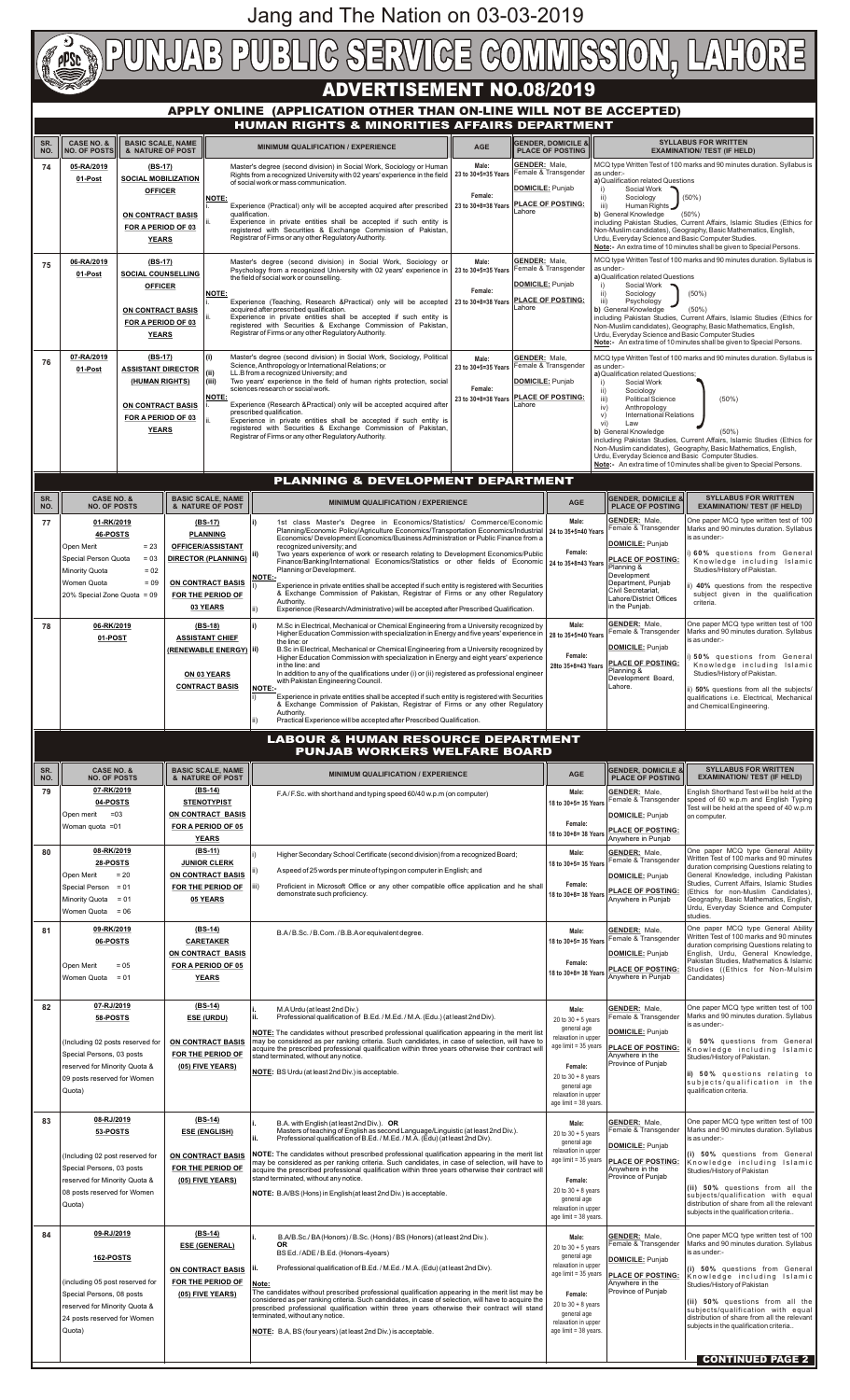# **ADVERTISEMENT NO.08/2019**

| 79<br>80 | 07-RK/2019<br>04-POSTS<br>$= 03$<br>Open merit<br>Woman quota = 01<br>08-RK/2019<br>28-POSTS<br>$= 20$<br>Open Merit<br>Special Person = 01<br>Minority Quota = 01<br>Women Quota = 06 | $(BS-14)$<br><b>STENOTYPIST</b><br>ON CONTRACT BASIS<br>FOR A PERIOD OF 05<br><b>YEARS</b><br>$(BS-11)$<br><b>JUNIOR CLERK</b><br>ON CONTRACT BASIS<br>FOR THE PERIOD OF<br>05 YEARS | F.A/F.Sc. with short hand and typing speed 60/40 w.p.m (on computer)<br>Higher Secondary School Certificate (second division) from a recognized Board;<br>A speed of 25 words per minute of typing on computer in English; and<br>Proficient in Microsoft Office or any other compatible office application and he shall<br>iii)<br>demonstrate such proficiency.                                                                                                                                                                                                                                                                             | Male:<br>18 to 30+5= 35 Years<br>Female:<br>18 to 30+8= 38 Years<br>Male:<br>18 to 30+5= 35 Years<br>Female:<br>18 to 30+8= 38 Years                                                          | <b>GENDER: Male,</b><br>Female & Transgender<br><b>DOMICILE: Punjab</b><br><b>PLACE OF POSTING:</b><br>Anywhere in Punjab<br><b>GENDER: Male,</b><br>Female & Transgender<br>DOMICILE: Punjab<br><b>PLACE OF POSTING:</b><br>Anywhere in Punjab | English Shorthand Test will be held at the<br>speed of 60 w.p.m and English Typing<br>Test will be held at the speed of 40 w.p.m<br>on computer.<br>One paper MCQ type General Ability<br>Written Test of 100 marks and 90 minutes<br>duration comprising Questions relating to<br>General Knowledge, including Pakistan<br>Studies, Current Affairs, Islamic Studies<br>(Ethics for non-Muslim Candidates),<br>Geography, Basic Mathematics, English,<br>Urdu, Everyday Science and Computer<br>studies. |
|----------|----------------------------------------------------------------------------------------------------------------------------------------------------------------------------------------|--------------------------------------------------------------------------------------------------------------------------------------------------------------------------------------|-----------------------------------------------------------------------------------------------------------------------------------------------------------------------------------------------------------------------------------------------------------------------------------------------------------------------------------------------------------------------------------------------------------------------------------------------------------------------------------------------------------------------------------------------------------------------------------------------------------------------------------------------|-----------------------------------------------------------------------------------------------------------------------------------------------------------------------------------------------|-------------------------------------------------------------------------------------------------------------------------------------------------------------------------------------------------------------------------------------------------|-----------------------------------------------------------------------------------------------------------------------------------------------------------------------------------------------------------------------------------------------------------------------------------------------------------------------------------------------------------------------------------------------------------------------------------------------------------------------------------------------------------|
| 81       | 09-RK/2019<br>06-POSTS<br>$= 0.5$<br>Open Merit<br>Women Quota<br>$= 01$                                                                                                               | $(BS-14)$<br><b>CARETAKER</b><br>ON CONTRACT BASIS<br><b>FOR A PERIOD OF 05</b><br><b>YEARS</b>                                                                                      | B.A/B.Sc./B.Com./B.B.Aor equivalent degree.                                                                                                                                                                                                                                                                                                                                                                                                                                                                                                                                                                                                   | Male:<br>18 to 30+5= 35 Years<br>Female:<br>18 to 30+8= 38 Years                                                                                                                              | <b>GENDER: Male,</b><br>Female & Transgender<br>DOMICILE: Punjab<br><b>PLACE OF POSTING:</b><br>Anywhere in Punjab                                                                                                                              | One paper MCQ type General Ability<br>Written Test of 100 marks and 90 minutes<br>duration comprising Questions relating to<br>English, Urdu, General Knowledge,<br>Pakistan Studies, Mathematics & Islamic<br>Studies ((Ethics for Non-Mulsim<br>Candidates)                                                                                                                                                                                                                                             |
| 82       | 07-RJ/2019<br>58-POSTS<br>(Including 02 posts reserved for<br>Special Persons, 03 posts<br>reserved for Minority Quota &<br>09 posts reserved for Women<br>Quota)                      | $(BS-14)$<br><b>ESE (URDU)</b><br><b>ON CONTRACT BASIS</b><br>FOR THE PERIOD OF<br>(05) FIVE YEARS)                                                                                  | M.A Urdu (at least 2nd Div.)<br>Professional qualification of B.Ed. / M.Ed. / M.A. (Edu.) (at least 2nd Div).<br>ii.<br>NOTE: The candidates without prescribed professional qualification appearing in the merit list<br>may be considered as per ranking criteria. Such candidates, in case of selection, will have to<br>acquire the prescribed professional qualification within three years otherwise their contract will<br>stand terminated, without any notice.<br>NOTE: BS Urdu (at least 2nd Div.) is acceptable.                                                                                                                   | Male:<br>20 to $30 + 5$ years<br>general age<br>relaxation in upper<br>age limit = 35 years<br>Female:<br>20 to $30 + 8$ years<br>general age<br>relaxation in upper<br>age limit = 38 years. | <b>GENDER: Male,</b><br>Female & Transgender<br><b>DOMICILE: Punjab</b><br><b>PLACE OF POSTING:</b><br>Anywhere in the<br>Province of Punjab                                                                                                    | One paper MCQ type written test of 100<br>Marks and 90 minutes duration. Syllabus<br>is as under:-<br>50% questions from General<br>Knowledge including Islamic<br>Studies/History of Pakistan.<br>ii) 50% questions relating to<br>subjects/qualification in the<br>qualification criteria.                                                                                                                                                                                                              |
| 83       | 08-RJ/2019<br>53-POSTS<br>(Including 02 post reserved for<br>Special Persons, 03 posts<br>reserved for Minority Quota &<br>08 posts reserved for Women<br>Quota)                       | $(BS-14)$<br><b>ESE (ENGLISH)</b><br><b>ON CONTRACT BASIS</b><br>FOR THE PERIOD OF<br>(05) FIVE YEARS)                                                                               | B.A. with English (at least 2nd Div.). OR<br>Masters of teaching of English as second Language/Linguistic (at least 2nd Div.).<br>Professional qualification of B.Ed. / M.Ed. / M.A. (Edu) (at least 2nd Div).<br>NOTE: The candidates without prescribed professional qualification appearing in the merit list<br>may be considered as per ranking criteria. Such candidates, in case of selection, will have to<br>acquire the prescribed professional qualification within three years otherwise their contract will<br>stand terminated, without any notice.<br><b>NOTE:</b> B.A/BS (Hons) in English (at least 2nd Div.) is acceptable. | Male:<br>20 to $30 + 5$ years<br>general age<br>relaxation in upper<br>age limit = 35 years<br>Female:<br>20 to $30 + 8$ years<br>general age<br>relaxation in upper<br>age limit = 38 years. | <b>GENDER: Male,</b><br>Female & Transgender<br>DOMICILE: Punjab<br><b>PLACE OF POSTING:</b><br>Anywhere in the<br>Province of Punjab                                                                                                           | One paper MCQ type written test of 100<br>Marks and 90 minutes duration. Syllabus<br>is as under:-<br>(i) 50% questions from General<br>Knowledge including Islamic<br>Studies/History of Pakistan<br>(ii) 50% questions from all the<br>subjects/qualification with equal<br>distribution of share from all the relevant<br>subjects in the qualification criteria                                                                                                                                       |
| 84       | 09-RJ/2019<br>162-POSTS<br>(including 05 post reserved for<br>Special Persons, 08 posts<br>reserved for Minority Quota &<br>24 posts reserved for Women<br>Quota)                      | (BS-14)<br><b>ESE (GENERAL)</b><br>ON CONTRACT BASIS<br>FOR THE PERIOD OF<br>(05) FIVE YEARS)                                                                                        | B.A/B.Sc./BA(Honors)/B.Sc. (Hons)/BS (Honors) (at least 2nd Div.).<br>OR.<br>BS Ed. /ADE/B.Ed. (Honors-4years)<br>Professional qualification of B.Ed. / M.Ed. / M.A. (Edu) (at least 2nd Div).<br>Note:<br>The candidates without prescribed professional qualification appearing in the merit list may be<br>considered as per ranking criteria. Such candidates, in case of selection, will have to acquire the<br>prescribed professional qualification within three years otherwise their contract will stand<br>terminated, without any notice.<br><b>NOTE:</b> B.A, BS (four years) (at least 2nd Div.) is acceptable.                  | Male:<br>20 to $30 + 5$ years<br>general age<br>relaxation in upper<br>age limit = 35 years<br>Female:<br>20 to $30 + 8$ years<br>general age<br>relaxation in upper<br>age limit = 38 years. | <b>GENDER: Male,</b><br>Female & Transgender<br>DOMICILE: Punjab<br><b>PLACE OF POSTING:</b><br>Anywhere in the<br>Province of Punjab                                                                                                           | One paper MCQ type written test of 100<br>Marks and 90 minutes duration. Syllabus<br>is as under:-<br>(i) 50% questions from General<br>Knowledge including Islamic<br>Studies/History of Pakistan<br>$\vert$ (ii) 50% questions from all the<br>subjects/qualification with equal<br>distribution of share from all the relevant<br>subjects in the qualification criteria<br><b>CONTINUED PAGE 2</b>                                                                                                    |

# **APPLY ONLINE (APPLICATION OTHER THAN ON-LINE WILL NOT BE ACCEPTED) HUMAN RIGHTS & MINORITIES AFFAIRS DEPARTMENT**

|                                                                                      |                                                                                                                              |                                                                                                                             |  |                                                                                                                                                     | <u>HUIWAN KIUH I 3 &amp; WIINUKI I IES AFFAIRS DEPARTIWEN I</u>                                                                                                                                                                                                                                                                                                                                                                                                                                                                                                                                                                                                                                                                                                                                                                               |                                                                                                                                                                                                                                                                                                                                                                                                                                                                                                                                                                                                                                                                                                                                   |                                                      |                                                               |                                                                                                                                                                                                                                                                                                                                                                                                                                                                                                                                                                                                                                 |                                                                                                                                                                                                                                                                                                                        |
|--------------------------------------------------------------------------------------|------------------------------------------------------------------------------------------------------------------------------|-----------------------------------------------------------------------------------------------------------------------------|--|-----------------------------------------------------------------------------------------------------------------------------------------------------|-----------------------------------------------------------------------------------------------------------------------------------------------------------------------------------------------------------------------------------------------------------------------------------------------------------------------------------------------------------------------------------------------------------------------------------------------------------------------------------------------------------------------------------------------------------------------------------------------------------------------------------------------------------------------------------------------------------------------------------------------------------------------------------------------------------------------------------------------|-----------------------------------------------------------------------------------------------------------------------------------------------------------------------------------------------------------------------------------------------------------------------------------------------------------------------------------------------------------------------------------------------------------------------------------------------------------------------------------------------------------------------------------------------------------------------------------------------------------------------------------------------------------------------------------------------------------------------------------|------------------------------------------------------|---------------------------------------------------------------|---------------------------------------------------------------------------------------------------------------------------------------------------------------------------------------------------------------------------------------------------------------------------------------------------------------------------------------------------------------------------------------------------------------------------------------------------------------------------------------------------------------------------------------------------------------------------------------------------------------------------------|------------------------------------------------------------------------------------------------------------------------------------------------------------------------------------------------------------------------------------------------------------------------------------------------------------------------|
| SR.<br>NO.                                                                           | <b>CASE NO. &amp;</b><br><b>NO. OF POSTS</b>                                                                                 | <b>BASIC SCALE, NAME</b><br>& NATURE OF POST                                                                                |  |                                                                                                                                                     | <b>MINIMUM QUALIFICATION / EXPERIENCE</b>                                                                                                                                                                                                                                                                                                                                                                                                                                                                                                                                                                                                                                                                                                                                                                                                     | <b>AGE</b>                                                                                                                                                                                                                                                                                                                                                                                                                                                                                                                                                                                                                                                                                                                        |                                                      | <b>GENDER. DOMICILE &amp;</b><br><b>PLACE OF POSTING</b>      |                                                                                                                                                                                                                                                                                                                                                                                                                                                                                                                                                                                                                                 | <b>SYLLABUS FOR WRITTEN</b><br><b>EXAMINATION/ TEST (IF HELD)</b>                                                                                                                                                                                                                                                      |
| 74                                                                                   | 05-RA/2019<br>01-Post                                                                                                        | $(BS-17)$<br><b>SOCIAL MOBILIZATION</b><br><b>OFFICER</b><br><b>ON CONTRACT BASIS</b><br>FOR A PERIOD OF 03<br><b>YEARS</b> |  | NOTE:                                                                                                                                               | Master's degree (second division) in Social Work, Sociology or Human<br>Rights from a recognized University with 02 years' experience in the field<br>of social work or mass communication.<br>Experience (Practical) only will be accepted acquired after prescribed<br>qualification.<br>Experience in private entities shall be accepted if such entity is<br>registered with Securities & Exchange Commission of Pakistan,<br>Registrar of Firms or any other Regulatory Authority.                                                                                                                                                                                                                                                                                                                                                       | Male:<br>23 to 30+5=35 Years<br>Female:<br>23 to 30+8=38 Years                                                                                                                                                                                                                                                                                                                                                                                                                                                                                                                                                                                                                                                                    | <b>GENDER: Male,</b><br>DOMICILE: Punjab<br>lLahore  | Female & Transgender<br><b>PLACE OF POSTING:</b>              | as under:-<br>a) Qualification related Questions<br>Social Work<br>ii)<br>Sociology<br>iii)<br>Human Rights<br>b) General Knowledge<br>Urdu, Everyday Science and Basic Computer Studies.                                                                                                                                                                                                                                                                                                                                                                                                                                       | MCQ type Written Test of 100 marks and 90 minutes duration. Syllabus is<br>$(50\%)$<br>$(50\%)$<br>including Pakistan Studies, Current Affairs, Islamic Studies (Ethics for<br>Non-Muslim candidates), Geography, Basic Mathematics, English,<br>Note:- An extra time of 10 minutes shall be given to Special Persons. |
| 75                                                                                   | 06-RA/2019<br>01-Post                                                                                                        | $(BS-17)$<br><b>SOCIAL COUNSELLING</b><br><b>OFFICER</b><br><b>ON CONTRACT BASIS</b><br>FOR A PERIOD OF 03<br><b>YEARS</b>  |  | <b>NOTE:</b>                                                                                                                                        | Master's degree (second division) in Social Work, Sociology or<br>Psychology from a recognized University with 02 years' experience in   23 to 30+5=35 Years<br>the field of social work or counselling.<br>Experience (Teaching, Research &Practical) only will be accepted 23 to 30+8=38 Years<br>acquired after prescribed qualification.<br>Experience in private entities shall be accepted if such entity is<br>registered with Securities & Exchange Commission of Pakistan,<br>Registrar of Firms or any other Regulatory Authority.                                                                                                                                                                                                                                                                                                  | Male:<br>Female:                                                                                                                                                                                                                                                                                                                                                                                                                                                                                                                                                                                                                                                                                                                  | <b>GENDER: Male,</b><br>DOMICILE: Punjab<br>l Lahore | Female & Transgender<br><b>PLACE OF POSTING:</b>              | as under:-<br>a) Qualification related Questions<br>Social Work •<br>ii)<br>Sociology<br>iii)<br>Psychology<br>b) General Knowledge<br>Urdu, Everyday Science and Basic Computer Studies                                                                                                                                                                                                                                                                                                                                                                                                                                        | MCQ type Written Test of 100 marks and 90 minutes duration. Syllabus is<br>$(50\%)$<br>$(50\%)$<br>including Pakistan Studies, Current Affairs, Islamic Studies (Ethics for<br>Non-Muslim candidates), Geography, Basic Mathematics, English,<br>Note: An extra time of 10 minutes shall be given to Special Persons.  |
| 76                                                                                   | 07-RA/2019<br>01-Post                                                                                                        | $(BS-17)$<br><b>ASSISTANT DIRECTOR</b><br>(HUMAN RIGHTS)<br>ON CONTRACT BASIS<br>FOR A PERIOD OF 03<br><b>YEARS</b>         |  | (i)<br>(ii)<br>(iii)<br><b>NOTE:</b>                                                                                                                | Master's degree (second division) in Social Work, Sociology, Political<br>Science, Anthropology or International Relations; or<br>LL.B from a recognized University; and<br>Two years' experience in the field of human rights protection, social<br>sciences research or social work.<br>Experience (Research &Practical) only will be accepted acquired after<br>prescribed qualification.<br>Experience in private entities shall be accepted if such entity is<br>registered with Securities & Exchange Commission of Pakistan,<br>Registrar of Firms or any other Regulatory Authority.                                                                                                                                                                                                                                                  | Male:<br>23 to 30+5=35 Years<br>Female:<br>23 to 30+8=38 Years                                                                                                                                                                                                                                                                                                                                                                                                                                                                                                                                                                                                                                                                    | <b>GENDER: Male,</b><br>DOMICILE: Punjab<br>Lahore   | Female & Transgender<br><b>PLACE OF POSTING:</b>              | MCQ type Written Test of 100 marks and 90 minutes duration. Syllabus is<br>as under:-<br>a) Qualification related Questions;<br>Social Work<br>i)<br>$\mathsf{ii}$ )<br>Sociology<br>iii)<br><b>Political Science</b><br>$(50\%)$<br>iv)<br>Anthropology<br>V)<br><b>International Relations</b><br>vi)<br>Law<br>b) General Knowledge<br>$(50\%)$<br>including Pakistan Studies, Current Affairs, Islamic Studies (Ethics for<br>Non-Muslim candidates), Geography, Basic Mathematics, English,<br>Urdu, Everyday Science and Basic Computer Studies.<br>Note:- An extra time of 10 minutes shall be given to Special Persons. |                                                                                                                                                                                                                                                                                                                        |
|                                                                                      |                                                                                                                              |                                                                                                                             |  |                                                                                                                                                     |                                                                                                                                                                                                                                                                                                                                                                                                                                                                                                                                                                                                                                                                                                                                                                                                                                               |                                                                                                                                                                                                                                                                                                                                                                                                                                                                                                                                                                                                                                                                                                                                   |                                                      |                                                               |                                                                                                                                                                                                                                                                                                                                                                                                                                                                                                                                                                                                                                 |                                                                                                                                                                                                                                                                                                                        |
|                                                                                      |                                                                                                                              |                                                                                                                             |  |                                                                                                                                                     | <b>PLANNING &amp; DEVELOPMENT DEPARTMENT</b>                                                                                                                                                                                                                                                                                                                                                                                                                                                                                                                                                                                                                                                                                                                                                                                                  |                                                                                                                                                                                                                                                                                                                                                                                                                                                                                                                                                                                                                                                                                                                                   |                                                      |                                                               |                                                                                                                                                                                                                                                                                                                                                                                                                                                                                                                                                                                                                                 |                                                                                                                                                                                                                                                                                                                        |
| SR.<br>NO.                                                                           | <b>CASE NO. &amp;</b><br><b>NO. OF POSTS</b>                                                                                 |                                                                                                                             |  | <b>BASIC SCALE, NAME</b><br>& NATURE OF POST                                                                                                        | <b>MINIMUM QUALIFICATION / EXPERIENCE</b>                                                                                                                                                                                                                                                                                                                                                                                                                                                                                                                                                                                                                                                                                                                                                                                                     |                                                                                                                                                                                                                                                                                                                                                                                                                                                                                                                                                                                                                                                                                                                                   |                                                      | <b>AGE</b>                                                    | <b>GENDER, DOMICILE &amp;</b><br><b>PLACE OF POSTING</b>                                                                                                                                                                                                                                                                                                                                                                                                                                                                                                                                                                        | <b>SYLLABUS FOR WRITTEN</b><br><b>EXAMINATION/ TEST (IF HELD)</b>                                                                                                                                                                                                                                                      |
| 77                                                                                   | 01-RK/2019<br>46-POSTS<br>Open Merit<br>Special Person Quota<br>Minority Quota<br>Women Quota<br>20% Special Zone Quota = 09 | $= 23$<br>$= 03$<br>$= 02$<br>$= 09$                                                                                        |  | $(BS-17)$<br><b>PLANNING</b><br><b>OFFICER/ASSISTANT</b><br><b>DIRECTOR (PLANNING)</b><br><b>ON CONTRACT BASIS</b><br>FOR THE PERIOD OF<br>03 YEARS | 1st class Master's Degree in Economics/Statistics/ Commerce/Economic<br>l i)<br>Planning/Economic Policy/Agriculture Economics/Transportation Economics/Industrial   24 to 35+5=40 Years<br>Economics/ Development Economics/Business Administration or Public Finance from a<br>recognized university; and<br>Two years experience of work or research relating to Development Economics/Public<br> ii)<br>Finance/Banking/International Economics/Statistics or other fields of Economic 24 to 35+8=43 Years<br>Planning or Development.<br>NOTE:-<br>Experience in private entities shall be accepted if such entity is registered with Securities<br>& Exchange Commission of Pakistan, Registrar of Firms or any other Regulatory<br>Authority.<br>Experience (Research/Administrative) will be accepted after Prescribed Qualification. |                                                                                                                                                                                                                                                                                                                                                                                                                                                                                                                                                                                                                                                                                                                                   |                                                      | Male:<br>Female:                                              | <b>GENDER:</b> Male,<br>Female & Transgender<br>DOMICILE: Punjab<br><b>PLACE OF POSTING:</b><br>Planning &<br>Development<br>Department, Punjab<br>Civil Secretariat,<br>Lahore/District Offices<br>in the Punjab.                                                                                                                                                                                                                                                                                                                                                                                                              | One paper MCQ type written test of 100<br>Marks and 90 minutes duration. Syllabus<br>is as under:-<br>60% questions from General<br>Knowledge including Islamic<br>Studies/History of Pakistan.<br>40% questions from the respective<br>subject given in the qualification<br>criteria.                                |
| 78                                                                                   | 06-RK/2019<br>01-POST                                                                                                        |                                                                                                                             |  | $(BS-18)$<br><b>ASSISTANT CHIEF</b><br>(RENEWABLE ENERGY)   ii)<br>ON 03 YEARS<br><b>CONTRACT BASIS</b>                                             | the line: or<br>in the line; and<br>with Pakistan Engineering Council.<br>NOTE:-<br>Authority.                                                                                                                                                                                                                                                                                                                                                                                                                                                                                                                                                                                                                                                                                                                                                | M.Sc in Electrical, Mechanical or Chemical Engineering from a University recognized by<br>Higher Education Commission with specialization in Energy and five years' experience in<br>B.Sc in Electrical, Mechanical or Chemical Engineering from a University recognized by<br>Higher Education Commission with specialization in Energy and eight years' experience<br>In addition to any of the qualifications under (i) or (ii) registered as professional engineer<br>Experience in private entities shall be accepted if such entity is registered with Securities<br>& Exchange Commission of Pakistan, Registrar of Firms or any other Regulatory<br>Practical Experience will be accepted after Prescribed Qualification. |                                                      | Male:<br>28 to 35+5=40 Years<br>Female:<br>28to 35+8=43 Years | <b>GENDER: Male.</b><br>Female & Transgender<br>DOMICILE: Punjab<br><b>PLACE OF POSTING:</b><br>Planning &<br>Development Board,<br>Lahore.                                                                                                                                                                                                                                                                                                                                                                                                                                                                                     | One paper MCQ type written test of 100<br>Marks and 90 minutes duration. Syllabus<br>is as under:-<br>50% questions from General<br>Knowledge including Islamic<br>Studies/History of Pakistan.<br>50% questions from all the subjects/<br>qualifications i.e. Electrical, Mechanical<br>and Chemical Engineering.     |
| <b>LABOUR &amp; HUMAN RESOURCE DEPARTMENT</b><br><b>PUNJAB WORKERS WELFARE BOARD</b> |                                                                                                                              |                                                                                                                             |  |                                                                                                                                                     |                                                                                                                                                                                                                                                                                                                                                                                                                                                                                                                                                                                                                                                                                                                                                                                                                                               |                                                                                                                                                                                                                                                                                                                                                                                                                                                                                                                                                                                                                                                                                                                                   |                                                      |                                                               |                                                                                                                                                                                                                                                                                                                                                                                                                                                                                                                                                                                                                                 |                                                                                                                                                                                                                                                                                                                        |
| SR.<br>NO.                                                                           | <b>CASE NO. &amp;</b><br><b>NO. OF POSTS</b>                                                                                 |                                                                                                                             |  | <b>BASIC SCALE, NAME</b><br>& NATURE OF POST                                                                                                        | <b>MINIMUM QUALIFICATION / EXPERIENCE</b>                                                                                                                                                                                                                                                                                                                                                                                                                                                                                                                                                                                                                                                                                                                                                                                                     |                                                                                                                                                                                                                                                                                                                                                                                                                                                                                                                                                                                                                                                                                                                                   |                                                      | AGE                                                           | <b>GENDER, DOMICILE &amp;</b><br><b>PLACE OF POSTING</b>                                                                                                                                                                                                                                                                                                                                                                                                                                                                                                                                                                        | <b>SYLLABUS FOR WRITTEN</b><br><b>EXAMINATION/ TEST (IF HELD)</b>                                                                                                                                                                                                                                                      |

Jang and The Nation on 03-03-2019

TGE COMMISSION, LAHORE DU BL  $P$ C SER  $\left(\begin{matrix} 1 \\ 0 \end{matrix}\right)$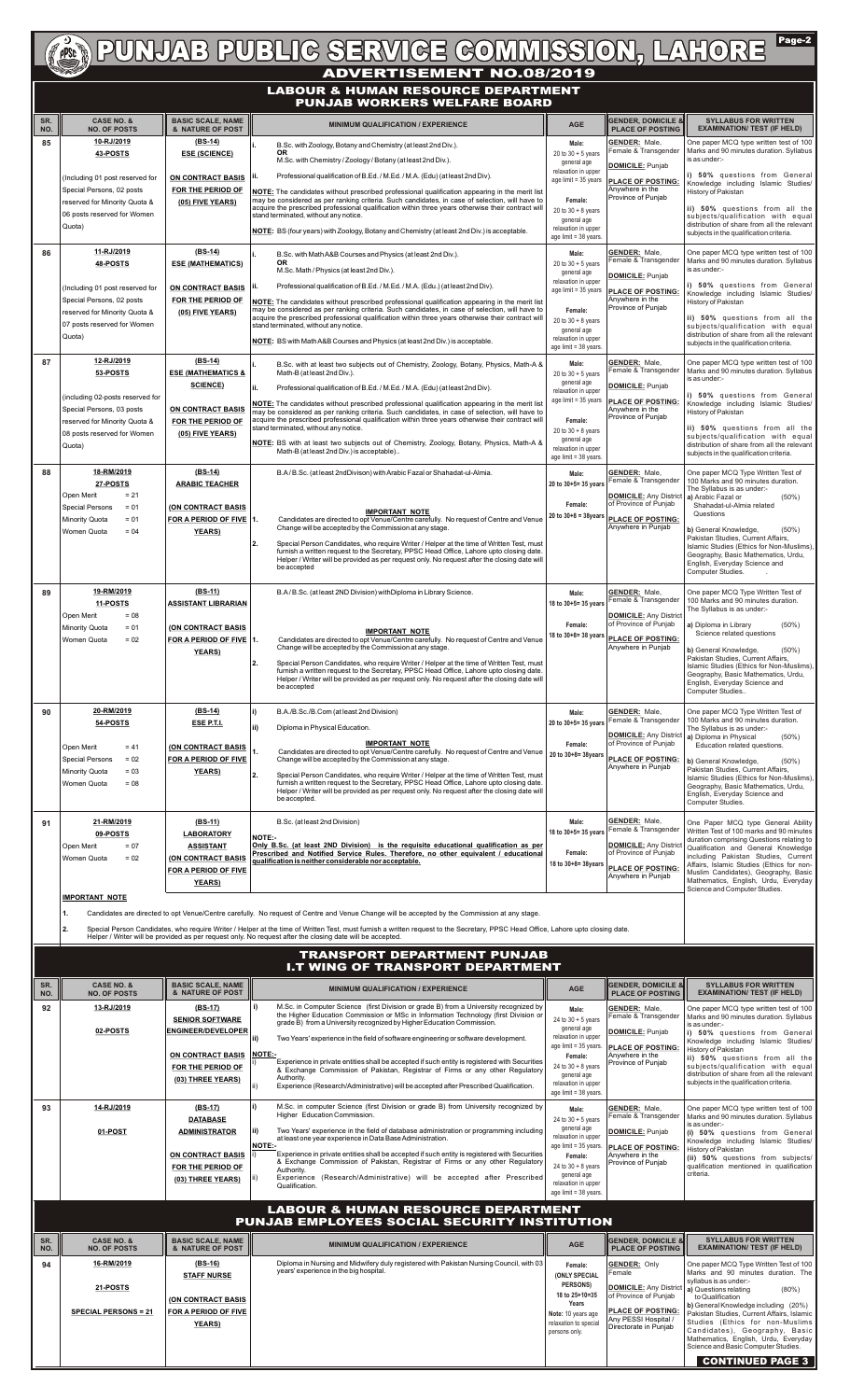

| SR.<br>NO. | <b>CASE NO. &amp;</b><br><b>NO. OF POSTS</b>                                                                                                           | <b>BASIC SCALE, NAME</b><br>& NATURE OF POST                                                                          | <b>MINIMUM QUALIFICATION / EXPERIENCE</b>                                                                                                                                                                                                                                                                                                                                                                                                                                                                                                                                                               | <b>AGE</b>                                                                                                                                                                           | <b>GENDER, DOMICILE &amp;</b><br><b>PLACE OF POSTING</b>                                                                                                                   | <b>SYLLABUS FOR WRITTEN</b><br><b>EXAMINATION/ TEST (IF HELD)</b>                                                                                                                                                                                                                                                                                                                         |
|------------|--------------------------------------------------------------------------------------------------------------------------------------------------------|-----------------------------------------------------------------------------------------------------------------------|---------------------------------------------------------------------------------------------------------------------------------------------------------------------------------------------------------------------------------------------------------------------------------------------------------------------------------------------------------------------------------------------------------------------------------------------------------------------------------------------------------------------------------------------------------------------------------------------------------|--------------------------------------------------------------------------------------------------------------------------------------------------------------------------------------|----------------------------------------------------------------------------------------------------------------------------------------------------------------------------|-------------------------------------------------------------------------------------------------------------------------------------------------------------------------------------------------------------------------------------------------------------------------------------------------------------------------------------------------------------------------------------------|
| 85         | 10-RJ/2019<br>43-POSTS<br>(Including 01 post reserved for<br>Special Persons, 02 posts<br>reserved for Minority Quota &<br>06 posts reserved for Women | $(BS-14)$<br><b>ESE (SCIENCE)</b><br><b>ON CONTRACT BASIS</b><br>FOR THE PERIOD OF<br>(05) FIVE YEARS)                | B.Sc. with Zoology, Botany and Chemistry (at least 2nd Div.).<br>OR.<br>M.Sc. with Chemistry / Zoology / Botany (at least 2nd Div.).<br>Professional qualification of B.Ed. / M.Ed. / M.A. (Edu) (at least 2nd Div).<br>NOTE: The candidates without prescribed professional qualification appearing in the merit list<br>may be considered as per ranking criteria. Such candidates, in case of selection, will have to<br>acquire the prescribed professional qualification within three years otherwise their contract will<br>stand terminated, without any notice.                                 | Male:<br>20 to $30 + 5$ years<br>general age<br>relaxation in upper<br>age limit = 35 years<br>Female:<br>20 to $30 + 8$ years<br>general age                                        | <b>GENDER: Male,</b><br>Female & Transgender<br><b>DOMICILE: Punjab</b><br><b>PLACE OF POSTING:</b><br>Anywhere in the<br>Province of Punjab                               | One paper MCQ type written test of 100<br>Marks and 90 minutes duration. Syllabus<br>is as under:-<br>i) 50% questions from General<br>Knowledge including Islamic Studies/<br>History of Pakistan<br>ii) 50% questions from all the<br>subjects/qualification with equal                                                                                                                 |
|            | Quota)<br>11-RJ/2019                                                                                                                                   | $(BS-14)$                                                                                                             | NOTE: BS (four years) with Zoology, Botany and Chemistry (at least 2nd Div.) is acceptable.                                                                                                                                                                                                                                                                                                                                                                                                                                                                                                             | relaxation in upper<br>age limit = 38 years.                                                                                                                                         |                                                                                                                                                                            | distribution of share from all the relevant<br>subjects in the qualification criteria.                                                                                                                                                                                                                                                                                                    |
| 86         | 48-POSTS<br>(Including 01 post reserved for<br>Special Persons, 02 posts<br>reserved for Minority Quota &<br>07 posts reserved for Women<br>Quota)     | <b>ESE (MATHEMATICS)</b><br>ON CONTRACT BASIS<br>FOR THE PERIOD OF<br>(05) FIVE YEARS)                                | B.Sc. with Math A&B Courses and Physics (at least 2nd Div.).<br><b>OR</b><br>M.Sc. Math / Physics (at least 2nd Div.).<br>Professional qualification of B.Ed. / M.Ed. / M.A. (Edu.) (at least 2nd Div).<br>NOTE: The candidates without prescribed professional qualification appearing in the merit list<br>may be considered as per ranking criteria. Such candidates, in case of selection, will have to<br>acquire the prescribed professional qualification within three years otherwise their contract will<br>stand terminated, without any notice.                                              | Male:<br>20 to $30 + 5$ years<br>general age<br>relaxation in upper<br>age limit = 35 years<br>Female:<br>20 to $30 + 8$ years<br>general age                                        | <b>GENDER: Male,</b><br>Female & Transgender<br><b>DOMICILE:</b> Punjab<br><b>PLACE OF POSTING:</b><br>Anywhere in the<br>Province of Punjab                               | One paper MCQ type written test of 100<br>Marks and 90 minutes duration. Syllabus<br>is as under:-<br>i) 50% questions from General<br>Knowledge including Islamic Studies/<br>History of Pakistan<br>ii) 50% questions from all the<br>subjects/qualification with equal<br>distribution of share from all the relevant                                                                  |
| 87         | 12-RJ/2019                                                                                                                                             | $(BS-14)$                                                                                                             | NOTE: BS with Math A&B Courses and Physics (at least 2nd Div.) is acceptable.<br>B.Sc. with at least two subjects out of Chemistry, Zoology, Botany, Physics, Math-A &                                                                                                                                                                                                                                                                                                                                                                                                                                  | relaxation in upper<br>age limit = 38 years.<br>Male:                                                                                                                                | <b>GENDER: Male,</b>                                                                                                                                                       | subjects in the qualification criteria.<br>One paper MCQ type written test of 100                                                                                                                                                                                                                                                                                                         |
|            | 53-POSTS<br>(including 02-posts reserved for<br>Special Persons, 03 posts<br>reserved for Minority Quota &<br>08 posts reserved for Women<br>Quota)    | <b>ESE (MATHEMATICS &amp;</b><br><b>SCIENCE)</b><br><b>ON CONTRACT BASIS</b><br>FOR THE PERIOD OF<br>(05) FIVE YEARS) | Math-B (at least 2nd Div.).<br>Professional qualification of B.Ed. / M.Ed. / M.A. (Edu) (at least 2nd Div).<br>NOTE: The candidates without prescribed professional qualification appearing in the merit list<br>may be considered as per ranking criteria. Such candidates, in case of selection, will have to<br>acquire the prescribed professional qualification within three years otherwise their contract will<br>stand terminated, without any notice.<br>NOTE: BS with at least two subjects out of Chemistry, Zoology, Botany, Physics, Math-A &<br>Math-B (at least 2nd Div.) is acceptable) | 20 to $30 + 5$ years<br>general age<br>relaxation in upper<br>age limit = 35 years<br>Female:<br>20 to $30 + 8$ years<br>general age<br>relaxation in upper<br>age limit = 38 years. | Female & Transgender<br><b>DOMICILE:</b> Punjab<br><b>PLACE OF POSTING:</b><br>Anywhere in the<br>Province of Punjab                                                       | Marks and 90 minutes duration. Syllabus<br>is as under:-<br>i) 50% questions from General<br>Knowledge including Islamic Studies/<br>History of Pakistan<br>ii) 50% questions from all the<br>subjects/qualification with equal<br>distribution of share from all the relevant<br>subjects in the qualification criteria.                                                                 |
| 88         | 18-RM/2019<br>27-POSTS<br>$= 21$<br>Open Merit<br>Special Persons<br>$= 01$<br>Minority Quota<br>$= 01$<br><b>Women Quota</b><br>$= 04$                | $(BS-14)$<br><b>ARABIC TEACHER</b><br>(ON CONTRACT BASIS<br>FOR A PERIOD OF FIVE 1.<br><b>YEARS</b> )                 | B.A/B.Sc. (at least 2ndDivison) with Arabic Fazal or Shahadat-ul-Almia.<br><b>IMPORTANT NOTE</b><br>Candidates are directed to opt Venue/Centre carefully. No request of Centre and Venue<br>Change will be accepted by the Commission at any stage.<br>12.<br>Special Person Candidates, who require Writer / Helper at the time of Written Test, must<br>furnish a written request to the Secretary, PPSC Head Office, Lahore upto closing date.<br>Helper / Writer will be provided as per request only. No request after the closing date will<br>be accepted                                       | Male:<br>20 to 30+5= 35 years<br>Female:<br>$20 to 30 + 8 = 38$ years                                                                                                                | <b>GENDER: Male,</b><br>Female & Transgender<br><b>DOMICILE:</b> Any District   a) Arabic Fazal or<br>of Province of Punjab<br>PLACE OF POSTING:<br>Anywhere in Punjab     | One paper MCQ Type Written Test of<br>100 Marks and 90 minutes duration.<br>The Syllabus is as under:-<br>$(50\%)$<br>Shahadat-ul-Almia related<br>Questions<br>b) General Knowledge,<br>$(50\%)$<br>Pakistan Studies, Current Affairs.<br>Islamic Studies (Ethics for Non-Muslims),<br>Geography, Basic Mathematics, Urdu,<br>English, Everyday Science and<br>Computer Studies.         |
| 89         | 19-RM/2019<br>11-POSTS<br>$= 08$<br>Open Merit<br>Minority Quota<br>$= 01$<br>$= 02$<br>Women Quota                                                    | (BS-11)<br><b>ASSISTANT LIBRARIAN</b><br><b>(ON CONTRACT BASIS</b><br>FOR A PERIOD OF FIVE 1.<br><b>YEARS</b> )       | B.A/B.Sc. (at least 2ND Division) with Diploma in Library Science.<br><b>IMPORTANT NOTE</b><br>Candidates are directed to opt Venue/Centre carefully. No request of Centre and Venue<br>Change will be accepted by the Commission at any stage.<br> 2.<br>Special Person Candidates, who require Writer / Helper at the time of Written Test, must<br>furnish a written request to the Secretary, PPSC Head Office, Lahore upto closing date.<br>Helper / Writer will be provided as per request only. No request after the closing date will<br>be accepted                                            | Male:<br>18 to 30+5= 35 years<br>Female:<br>18 to 30+8= 38 years                                                                                                                     | <b>GENDER: Male,</b><br>Female & Transgender<br><b>DOMICILE: Any District</b><br>of Province of Punjab<br>PLACE OF POSTING:<br>Anywhere in Punjab                          | One paper MCQ Type Written Test of<br>100 Marks and 90 minutes duration.<br>The Syllabus is as under:-<br>a) Diploma in Library<br>(50%)<br>Science related questions<br>b) General Knowledge,<br>$(50\%)$<br>Pakistan Studies, Current Affairs,<br>Islamic Studies (Ethics for Non-Muslims),<br>Geography, Basic Mathematics, Urdu,<br>English, Everyday Science and<br>Computer Studies |
| 90         | 20-RM/2019<br>54-POSTS<br>$= 41$<br>Open Merit<br><b>Special Persons</b><br>$= 02$<br>Minority Quota<br>$= 03$<br>Women Quota<br>$= 08$                | $(BS-14)$<br>ESE P.T.I.<br>(ON CONTRACT BASIS<br>FOR A PERIOD OF FIVE<br><b>YEARS)</b>                                | B.A./B.Sc./B.Com (at least 2nd Division)<br>Diploma in Physical Education.<br><b>IMPORTANT NOTE</b><br>Candidates are directed to opt Venue/Centre carefully. No request of Centre and Venue<br>Change will be accepted by the Commission at any stage.<br>Special Person Candidates, who require Writer / Helper at the time of Written Test, must<br>12.<br>furnish a written request to the Secretary, PPSC Head Office, Lahore upto closing date.                                                                                                                                                   | Male:<br>20 to 30+5= 35 years<br>Female:<br>20 to 30+8= 38years                                                                                                                      | <b>GENDER: Male,</b><br>Female & Transgender<br><b>DOMICILE:</b> Any District   a) Diploma in Physical<br>of Province of Punjab<br>PLACE OF POSTING:<br>Anywhere in Punjab | One paper MCQ Type Written Test of<br>100 Marks and 90 minutes duration.<br>The Syllabus is as under:-<br>$(50\%)$<br>Education related questions.<br>b) General Knowledge,<br>$(50\%)$<br>Pakistan Studies, Current Affairs,<br>Islamic Studies (Ethics for Non-Muslims),<br>Geography, Basic Mathematics, Urdu,                                                                         |

| 91         | 21-RM/2019<br>09-POSTS<br>$= 07$                                                                                                                    | $(BS-11)$                                                                                                                                                                                                                                                                                                                                                                                                                                      |                                                                                                                                                                                                                                                                                                                                                                                                                                                                                                                                                                                                                                                         | Male:                                                                                                                                                                                         |                                                                                                                                                                                       |                                                                                                                                                                                                                                                                                                                                                                                                            |  |  |
|------------|-----------------------------------------------------------------------------------------------------------------------------------------------------|------------------------------------------------------------------------------------------------------------------------------------------------------------------------------------------------------------------------------------------------------------------------------------------------------------------------------------------------------------------------------------------------------------------------------------------------|---------------------------------------------------------------------------------------------------------------------------------------------------------------------------------------------------------------------------------------------------------------------------------------------------------------------------------------------------------------------------------------------------------------------------------------------------------------------------------------------------------------------------------------------------------------------------------------------------------------------------------------------------------|-----------------------------------------------------------------------------------------------------------------------------------------------------------------------------------------------|---------------------------------------------------------------------------------------------------------------------------------------------------------------------------------------|------------------------------------------------------------------------------------------------------------------------------------------------------------------------------------------------------------------------------------------------------------------------------------------------------------------------------------------------------------------------------------------------------------|--|--|
|            | <b>LABORATORY</b><br><b>ASSISTANT</b><br>Open Merit<br>$= 02$<br>(ON CONTRACT BASIS<br><b>Women Quota</b><br>FOR A PERIOD OF FIVE<br><b>YEARS</b> ) |                                                                                                                                                                                                                                                                                                                                                                                                                                                | B.Sc. (at least 2nd Division)<br>18 to 30+5= 35 years<br><b>NOTE:-</b><br>Only B.Sc. (at least 2ND Division) is the requisite educational qualification as per<br>Prescribed and Notified Service Rules. Therefore, no other equivalent / educational<br>qualification is neither considerable nor acceptable.<br>18 to 30+8= 38years                                                                                                                                                                                                                                                                                                                   |                                                                                                                                                                                               | <b>GENDER: Male,</b><br>Female & Transgender<br><b>DOMICILE:</b> Any District<br>of Province of Punjab<br><b>PLACE OF POSTING:</b><br>Anywhere in Punjab                              | One Paper MCQ type General Ability<br>Written Test of 100 marks and 90 minutes<br>duration comprising Questions relating to<br>Qualification and General Knowledge<br>including Pakistan Studies, Current<br>Affairs, Islamic Studies (Ethics for non-<br>Muslim Candidates), Geography, Basic<br>Mathematics, English, Urdu, Everyday<br>Science and Computer Studies.                                    |  |  |
|            | <b>IMPORTANT NOTE</b>                                                                                                                               |                                                                                                                                                                                                                                                                                                                                                                                                                                                |                                                                                                                                                                                                                                                                                                                                                                                                                                                                                                                                                                                                                                                         |                                                                                                                                                                                               |                                                                                                                                                                                       |                                                                                                                                                                                                                                                                                                                                                                                                            |  |  |
|            | 12.                                                                                                                                                 | Candidates are directed to opt Venue/Centre carefully. No request of Centre and Venue Change will be accepted by the Commission at any stage.<br>Special Person Candidates, who require Writer / Helper at the time of Written Test, must furnish a written request to the Secretary, PPSC Head Office, Lahore upto closing date.<br>Helper / Writer will be provided as per request only. No request after the closing date will be accepted. |                                                                                                                                                                                                                                                                                                                                                                                                                                                                                                                                                                                                                                                         |                                                                                                                                                                                               |                                                                                                                                                                                       |                                                                                                                                                                                                                                                                                                                                                                                                            |  |  |
|            |                                                                                                                                                     |                                                                                                                                                                                                                                                                                                                                                                                                                                                | <b>TRANSPORT DEPARTMENT PUNJAB</b><br><b>I.T WING OF TRANSPORT DEPARTMENT</b>                                                                                                                                                                                                                                                                                                                                                                                                                                                                                                                                                                           |                                                                                                                                                                                               |                                                                                                                                                                                       |                                                                                                                                                                                                                                                                                                                                                                                                            |  |  |
| SR.<br>NO. | <b>CASE NO. &amp;</b><br><b>NO. OF POSTS</b>                                                                                                        | <b>BASIC SCALE, NAME</b><br>& NATURE OF POST                                                                                                                                                                                                                                                                                                                                                                                                   | <b>MINIMUM QUALIFICATION / EXPERIENCE</b>                                                                                                                                                                                                                                                                                                                                                                                                                                                                                                                                                                                                               | <b>AGE</b>                                                                                                                                                                                    | <b>GENDER. DOMICILE &amp;</b><br><b>PLACE OF POSTING</b>                                                                                                                              | <b>SYLLABUS FOR WRITTEN</b><br><b>EXAMINATION/ TEST (IF HELD)</b>                                                                                                                                                                                                                                                                                                                                          |  |  |
| 92         | 13-RJ/2019<br>02-POSTS                                                                                                                              | $(BS-17)$<br><b>SENIOR SOFTWARE</b><br><b>ENGINEER/DEVELOPER</b><br><b>ON CONTRACT BASIS</b><br>FOR THE PERIOD OF<br>(03) THREE YEARS)                                                                                                                                                                                                                                                                                                         | M.Sc. in Computer Science (first Division or grade B) from a University recognized by<br>the Higher Education Commission or MSc in Information Technology (first Division or<br>grade B) from a University recognized by Higher Education Commission.<br>Two Years' experience in the field of software engineering or software development.<br>lii)<br>NOTE:-<br>Experience in private entities shall be accepted if such entity is registered with Securities<br>& Exchange Commission of Pakistan, Registrar of Firms or any other Regulatory<br>Authority.<br>Experience (Research/Administrative) will be accepted after Prescribed Qualification. | Male:<br>24 to $30 + 5$ years<br>general age<br>relaxation in upper<br>age limit = 35 years<br>Female:<br>24 to $30 + 8$ years<br>general age<br>relaxation in upper<br>age limit = 38 years. | <b>GENDER: Male,</b><br>Female & Transgender<br>DOMICILE: Punjab<br><b>PLACE OF POSTING:</b><br>Anywhere in the<br>Province of Punjab                                                 | One paper MCQ type written test of 100<br>Marks and 90 minutes duration. Syllabus<br>is as under:-<br>i) 50% questions from General<br>Knowledge including Islamic Studies/<br>History of Pakistan<br>ii) 50% questions from all the<br>subjects/qualification with equal<br>distribution of share from all the relevant<br>subjects in the qualification criteria.                                        |  |  |
| 93         | 14-RJ/2019<br>01-POST                                                                                                                               | $(BS-17)$<br><b>DATABASE</b><br><b>ADMINISTRATOR</b><br><b>ON CONTRACT BASIS</b><br>FOR THE PERIOD OF<br>(03) THREE YEARS)                                                                                                                                                                                                                                                                                                                     | M.Sc. in computer Science (first Division or grade B) from University recognized by<br>Higher Education Commission.<br>Two Years' experience in the field of database administration or programming including<br>ii)<br>at least one year experience in Data Base Administration.<br><b>NOTE:-</b><br>Experience in private entities shall be accepted if such entity is registered with Securities<br>& Exchange Commission of Pakistan, Registrar of Firms or any other Regulatory<br>Authority.<br>Experience (Research/Administrative) will be accepted after Prescribed<br>Qualification.                                                          | Male:<br>24 to $30 + 5$ years<br>general age<br>relaxation in upper<br>age limit = 35 years<br>Female:<br>24 to $30 + 8$ years<br>general age<br>relaxation in upper<br>age limit = 38 years. | <b>GENDER: Male,</b><br>Female & Transgender<br>DOMICILE: Punjab<br><b>PLACE OF POSTING:</b><br>Anywhere in the<br>Province of Punjab                                                 | One paper MCQ type written test of 100<br>Marks and 90 minutes duration. Syllabus<br>is as under:-<br>(i) 50% questions from General<br>Knowledge including Islamic Studies/<br>History of Pakistan<br>(ii) 50% questions from subjects/<br>qualification mentioned in qualification<br>criteria.                                                                                                          |  |  |
|            |                                                                                                                                                     |                                                                                                                                                                                                                                                                                                                                                                                                                                                |                                                                                                                                                                                                                                                                                                                                                                                                                                                                                                                                                                                                                                                         |                                                                                                                                                                                               |                                                                                                                                                                                       |                                                                                                                                                                                                                                                                                                                                                                                                            |  |  |
| SR.<br>NO. | <b>CASE NO. &amp;</b><br><b>NO. OF POSTS</b>                                                                                                        | <b>BASIC SCALE, NAME</b><br>& NATURE OF POST                                                                                                                                                                                                                                                                                                                                                                                                   | <b>MINIMUM QUALIFICATION / EXPERIENCE</b>                                                                                                                                                                                                                                                                                                                                                                                                                                                                                                                                                                                                               | <b>AGE</b>                                                                                                                                                                                    | <b>GENDER, DOMICILE &amp;</b><br><b>PLACE OF POSTING</b>                                                                                                                              | <b>SYLLABUS FOR WRITTEN</b><br><b>EXAMINATION/ TEST (IF HELD)</b>                                                                                                                                                                                                                                                                                                                                          |  |  |
| 94         | 16-RM/2019<br>21-POSTS<br><b>SPECIAL PERSONS = 21</b>                                                                                               | $(BS-16)$<br><b>STAFF NURSE</b><br><b>(ON CONTRACT BASIS</b><br>FOR A PERIOD OF FIVE<br><b>YEARS</b> )                                                                                                                                                                                                                                                                                                                                         | Diploma in Nursing and Midwifery duly registered with Pakistan Nursing Council, with 03<br>years' experience in the big hospital.                                                                                                                                                                                                                                                                                                                                                                                                                                                                                                                       | Female:<br>(ONLY SPECIAL<br>PERSONS)<br>18 to 25+10=35<br><b>Years</b><br>Note: 10 years age<br>relaxation to specia<br>persons only.                                                         | <b>GENDER: Only</b><br>Female<br>DOMICILE: Any District   a) Questions relating<br>of Province of Punjab<br><b>PLACE OF POSTING:</b><br>Any PESSI Hospital /<br>Directorate in Punjab | One paper MCQ Type Written Test of 100<br>Marks and 90 minutes duration. The<br>syllabus is as under:-<br>$(80\%)$<br>to Qualification<br>b) General Knowledge including (20%)<br>Pakistan Studies, Current Affairs, Islamic<br>Studies (Ethics for non-Muslims<br>Candidates), Geography, Basic<br>Mathematics, English, Urdu, Everyday<br>Science and Basic Computer Studies.<br><b>CONTINUED PAGE 3</b> |  |  |

# **LABOUR & HUMAN RESOURCE DEPARTMENT PUNJAB WORKERS WELFARE BOARD**